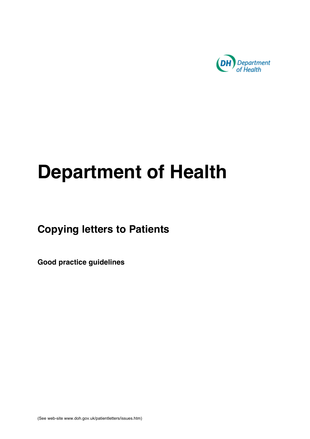

# **Department of Health**

# **Copying letters to Patients**

**Good practice guidelines**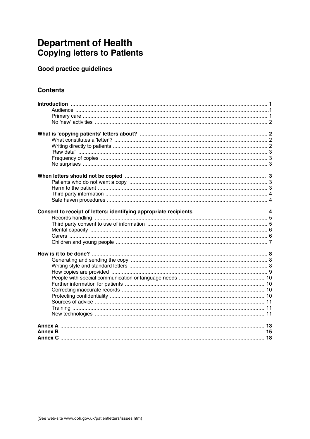# **Department of Health Copying letters to Patients**

# Good practice guidelines

# **Contents**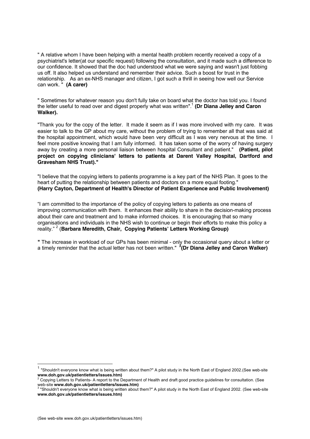" A relative whom I have been helping with a mental health problem recently received a copy of a psychiatrist's letter(at our specific request) following the consultation, and it made such a difference to our confidence. It showed that the doc had understood what we were saying and wasn't just fobbing us off. It also helped us understand and remember their advice. Such a boost for trust in the relationship. As an ex-NHS manager and citizen, I got such a thrill in seeing how well our Service can work. " **(A carer)**

" Sometimes for whatever reason you don't fully take on board what the doctor has told you. I found the letter useful to read over and digest properly what was written".1 **(Dr Diana Jelley and Caron Walker).**

"Thank you for the copy of the letter. It made it seem as if I was more involved with my care. It was easier to talk to the GP about my care, without the problem of trying to remember all that was said at the hospital appointment, which would have been very difficult as I was very nervous at the time. I feel more positive knowing that I am fully informed. It has taken some of the worry of having surgery away by creating a more personal liaison between hospital Consultant and patient." **(Patient, pilot project on copying clinicians' letters to patients at Darent Valley Hospital, Dartford and Gravesham NHS Trust)."**

"I believe that the copying letters to patients programme is a key part of the NHS Plan. It goes to the heart of putting the relationship between patients and doctors on a more equal footing." **(Harry Cayton, Department of Health's Director of Patient Experience and Public Involvement)**

"I am committed to the importance of the policy of copying letters to patients as one means of improving communication with them. It enhances their ability to share in the decision-making process about their care and treatment and to make informed choices. It is encouraging that so many organisations and individuals in the NHS wish to continue or begin their efforts to make this policy a reality." <sup>2</sup> (Barbara Meredith, Chair, Copying Patients' Letters Working Group)

**"** The increase in workload of our GPs has been minimal - only the occasional query about a letter or a timely reminder that the actual letter has not been written." **<sup>3</sup> (Dr Diana Jelley and Caron Walker)**

 <sup>1</sup> "Shouldn't everyone know what is being written about them?" A pilot study in the North East of England 2002.(See web-site **www.doh.gov.uk/patientletters/issues.htm)** 2

Copying Letters to Patients- A report to the Department of Health and draft good practice guidelines for consultation. (See

web-site **www.doh.gov.uk/patientletters/issues.htm)**<br><sup>3</sup> "Shouldn't everyone know what is being written about them?" A pilot study in the North East of England 2002. (See web-site **www.doh.gov.uk/patientletters/issues.htm)**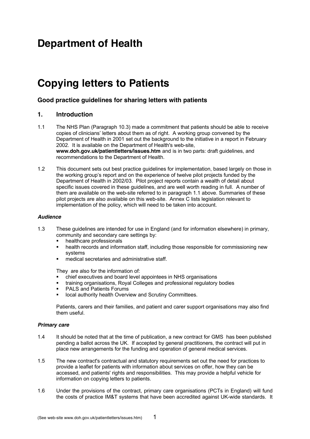# **Department of Health**

# **Copying letters to Patients**

# **Good practice guidelines for sharing letters with patients**

# **1. Introduction**

- 1.1 The NHS Plan (Paragraph 10.3) made a commitment that patients should be able to receive copies of clinicians' letters about them as of right. A working group convened by the Department of Health in 2001 set out the background to the initiative in a report in February 2002. It is available on the Department of Health's web-site, **www.doh.gov.uk/patientletters/issues.htm** and is in two parts: draft guidelines, and recommendations to the Department of Health.
- 1.2 This document sets out best practice guidelines for implementation, based largely on those in the working group's report and on the experience of twelve pilot projects funded by the Department of Health in 2002/03. Pilot project reports contain a wealth of detail about specific issues covered in these guidelines, and are well worth reading in full. A number of them are available on the web-site referred to in paragraph 1.1 above. Summaries of these pilot projects are also available on this web-site. Annex C lists legislation relevant to implementation of the policy, which will need to be taken into account.

#### *Audience*

- 1.3 These guidelines are intended for use in England (and for information elsewhere) in primary, community and secondary care settings by:
	- ß healthcare professionals
	- health records and information staff, including those responsible for commissioning new systems
	- **nedical secretaries and administrative staff.**

They are also for the information of:

- ß chief executives and board level appointees in NHS organisations
- ß training organisations, Royal Colleges and professional regulatory bodies
- ß PALS and Patients Forums
- local authority health Overview and Scrutiny Committees.

Patients, carers and their families, and patient and carer support organisations may also find them useful.

#### *Primary care*

- 1.4 It should be noted that at the time of publication, a new contract for GMS has been published pending a ballot across the UK. If accepted by general practitioners, the contract will put in place new arrangements for the funding and operation of general medical services.
- 1.5 The new contract's contractual and statutory requirements set out the need for practices to provide a leaflet for patients with information about services on offer, how they can be accessed, and patients' rights and responsibilities. This may provide a helpful vehicle for information on copying letters to patients.
- 1.6 Under the provisions of the contract, primary care organisations (PCTs in England) will fund the costs of practice IM&T systems that have been accredited against UK-wide standards. It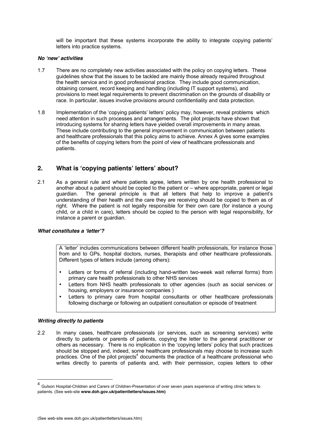will be important that these systems incorporate the ability to integrate copying patients' letters into practice systems.

#### *No 'new' activities*

- 1.7 There are no completely new activities associated with the policy on copying letters. These guidelines show that the issues to be tackled are mainly those already required throughout the health service and in good professional practice. They include good communication, obtaining consent, record keeping and handling (including IT support systems), and provisions to meet legal requirements to prevent discrimination on the grounds of disability or race. In particular, issues involve provisions around confidentiality and data protection.
- 1.8 Implementation of the 'copying patients' letters' policy may, however, reveal problems which need attention in such processes and arrangements. The pilot projects have shown that introducing systems for sharing letters have yielded overall improvements in many areas. These include contributing to the general improvement in communication between patients and healthcare professionals that this policy aims to achieve. Annex A gives some examples of the benefits of copying letters from the point of view of healthcare professionals and patients.

# **2. What is 'copying patients' letters' about?**

2.1 As a general rule and where patients agree, letters written by one health professional to another about a patient should be copied to the patient or – where appropriate, parent or legal guardian. The general principle is that all letters that help to improve a patient's understanding of their health and the care they are receiving should be copied to them as of right. Where the patient is not legally responsible for their own care (for instance a young child, or a child in care), letters should be copied to the person with legal responsibility, for instance a parent or guardian.

#### *What constitutes a 'letter'?*

A 'letter' includes communications between different health professionals, for instance those from and to GPs, hospital doctors, nurses, therapists and other healthcare professionals. Different types of letters include (among others):

- Letters or forms of referral (including hand-written two-week wait referral forms) from primary care health professionals to other NHS services
- Letters from NHS health professionals to other agencies (such as social services or housing, employers or insurance companies )
- Letters to primary care from hospital consultants or other healthcare professionals following discharge or following an outpatient consultation or episode of treatment

#### *Writing directly to patients*

2.2 In many cases, healthcare professionals (or services, such as screening services) write directly to patients or parents of patients, copying the letter to the general practitioner or others as necessary. There is no implication in the 'copying letters' policy that such practices should be stopped and, indeed, some healthcare professionals may choose to increase such practices. One of the pilot projects<sup>4</sup> documents the practice of a healthcare professional who writes directly to parents of patients and, with their permission, copies letters to other

 <sup>4</sup> Gulson Hospital-Children and Carers of Children-Presentation of over seven years experience of writing clinic letters to patients. (See web-site **www.doh.gov.uk/patientletters/issues.htm)**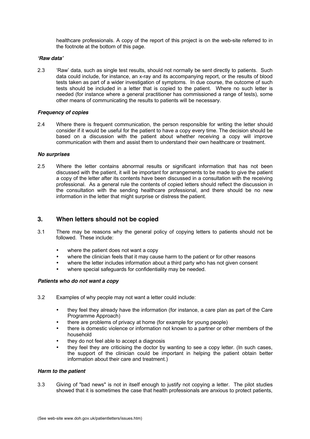healthcare professionals. A copy of the report of this project is on the web-site referred to in the footnote at the bottom of this page.

#### *'Raw data'*

2.3 'Raw' data, such as single test results, should not normally be sent directly to patients. Such data could include, for instance, an x-ray and its accompanying report, or the results of blood tests taken as part of a wider investigation of symptoms. In due course, the outcome of such tests should be included in a letter that is copied to the patient. Where no such letter is needed (for instance where a general practitioner has commissioned a range of tests), some other means of communicating the results to patients will be necessary.

#### *Frequency of copies*

2.4 Where there is frequent communication, the person responsible for writing the letter should consider if it would be useful for the patient to have a copy every time. The decision should be based on a discussion with the patient about whether receiving a copy will improve communication with them and assist them to understand their own healthcare or treatment.

#### *No surprises*

2.5 Where the letter contains abnormal results or significant information that has not been discussed with the patient, it will be important for arrangements to be made to give the patient a copy of the letter after its contents have been discussed in a consultation with the receiving professional. As a general rule the contents of copied letters should reflect the discussion in the consultation with the sending healthcare professional, and there should be no new information in the letter that might surprise or distress the patient.

## **3. When letters should not be copied**

- 3.1 There may be reasons why the general policy of copying letters to patients should not be followed. These include:
	- where the patient does not want a copy
	- where the clinician feels that it may cause harm to the patient or for other reasons
	- where the letter includes information about a third party who has not given consent
	- where special safeguards for confidentiality may be needed.

#### *Patients who do not want a copy*

- 3.2 Examples of why people may not want a letter could include:
	- they feel they already have the information (for instance, a care plan as part of the Care Programme Approach)
	- there are problems of privacy at home (for example for young people)
	- there is domestic violence or information not known to a partner or other members of the household
	- they do not feel able to accept a diagnosis
	- they feel they are criticising the doctor by wanting to see a copy letter. (In such cases, the support of the clinician could be important in helping the patient obtain better information about their care and treatment.)

#### *Harm to the patient*

3.3 Giving of "bad news" is not in itself enough to justify not copying a letter. The pilot studies showed that it is sometimes the case that health professionals are anxious to protect patients,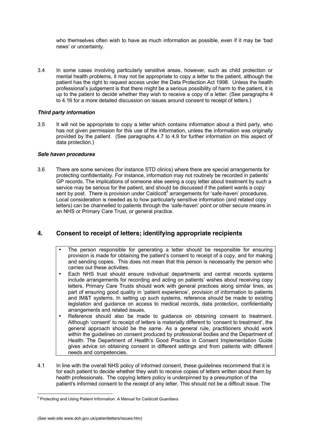who themselves often wish to have as much information as possible, even if it may be 'bad news' or uncertainty.

3.4 In some cases involving particularly sensitive areas, however, such as child protection or mental health problems, it may not be appropriate to copy a letter to the patient, although the patient has the right to request access under the Data Protection Act 1998. Unless the health professional's judgement is that there might be a serious possibility of harm to the patient, it is up to the patient to decide whether they wish to receive a copy of a letter. (See paragraphs 4 to 4.16 for a more detailed discussion on issues around consent to receipt of letters.)

#### *Third party information*

3.5 It will not be appropriate to copy a letter which contains information about a third party, who has not given permission for this use of the information, unless the information was originally provided by the patient. (See paragraphs 4.7 to 4.9 for further information on this aspect of data protection.)

#### *Safe haven procedures*

3.6 There are some services (for instance STD clinics) where there are special arrangements for protecting confidentiality. For instance, information may not routinely be recorded in patients' GP records. The implications of someone else seeing a copy letter about treatment by such a service may be serious for the patient, and should be discussed if the patient wants a copy sent by post. There is provision under Caldicott<sup>5</sup> arrangements for 'safe-haven' procedures. Local consideration is needed as to how particularly sensitive information (and related copy letters) can be channelled to patients through the 'safe-haven' point or other secure means in an NHS or Primary Care Trust, or general practice.

# **4. Consent to receipt of letters; identifying appropriate recipients**

- The person responsible for generating a letter should be responsible for ensuring provision is made for obtaining the patient's consent to receipt of a copy, and for making and sending copies. This does not mean that this person is necessarily the person who carries out these activities.
- Each NHS trust should ensure individual departments and central records systems include arrangements for recording and acting on patients' wishes about receiving copy letters. Primary Care Trusts should work with general practices along similar lines, as part of ensuring good quality in 'patient experience', provision of information to patients and IM&T systems. In setting up such systems, reference should be made to existing legislation and guidance on access to medical records, data protection, confidentiality arrangements and related issues.
- Reference should also be made to guidance on obtaining consent to treatment. Although 'consent' to receipt of letters is materially different to 'consent to treatment', the general approach should be the same. As a general rule, practitioners should work within the guidelines on consent produced by professional bodies and the Department of Health. The Department of Health's Good Practice in Consent Implementation Guide gives advice on obtaining consent in different settings and from patients with different needs and competencies.
- 4.1 In line with the overall NHS policy of informed consent, these guidelines recommend that it is for each patient to decide whether they wish to receive copies of letters written about them by health professionals. The copying letters policy is underpinned by a presumption of the patient's informed consent to the receipt of any letter. This should not be a difficult issue. The

<sup>-&</sup>lt;br>5  $5$  Protecting and Using Patient Information. A Manual for Caldicott Guardians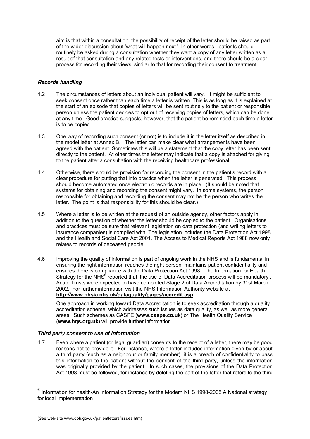aim is that within a consultation, the possibility of receipt of the letter should be raised as part of the wider discussion about 'what will happen next.' In other words, patients should routinely be asked during a consultation whether they want a copy of any letter written as a result of that consultation and any related tests or interventions, and there should be a clear process for recording their views, similar to that for recording their consent to treatment.

#### *Records handling*

- 4.2 The circumstances of letters about an individual patient will vary. It might be sufficient to seek consent once rather than each time a letter is written. This is as long as it is explained at the start of an episode that copies of letters will be sent routinely to the patient or responsible person unless the patient decides to opt out of receiving copies of letters, which can be done at any time. Good practice suggests, however, that the patient be reminded each time a letter is to be copied.
- 4.3 One way of recording such consent (or not) is to include it in the letter itself as described in the model letter at Annex B. The letter can make clear what arrangements have been agreed with the patient. Sometimes this will be a statement that the copy letter has been sent directly to the patient. At other times the letter may indicate that a copy is attached for giving to the patient after a consultation with the receiving healthcare professional.
- 4.4 Otherwise, there should be provision for recording the consent in the patient's record with a clear procedure for putting that into practice when the letter is generated. This process should become automated once electronic records are in place. (It should be noted that systems for obtaining and recording the consent might vary. In some systems, the person responsible for obtaining and recording the consent may not be the person who writes the letter. The point is that responsibility for this should be clear.)
- 4.5 Where a letter is to be written at the request of an outside agency, other factors apply in addition to the question of whether the letter should be copied to the patient. Organisations and practices must be sure that relevant legislation on data protection (and writing letters to insurance companies) is complied with. The legislation includes the Data Protection Act 1998 and the Health and Social Care Act 2001. The Access to Medical Reports Act 1988 now only relates to records of deceased people.
- 4.6 Improving the quality of information is part of ongoing work in the NHS and is fundamental in ensuring the right information reaches the right person, maintains patient confidentiality and ensures there is compliance with the Data Protection Act 1998. The Information for Health Strategy for the NHS<sup>6</sup> reported that 'the use of Data Accreditation process will be mandatory', Acute Trusts were expected to have completed Stage 2 of Data Accreditation by 31st March 2002. For further information visit the NHS Information Authority website at **http://www.nhsia.nhs.uk/dataquality/pages/accredit.asp**

One approach in working toward Data Accreditation is to seek accreditation through a quality accreditation scheme, which addresses such issues as data quality, as well as more general areas. Such schemes as CASPE (**www.caspe.co.uk**) or The Health Quality Service (**www.hqs.org.uk**) will provide further information.

#### *Third party consent to use of information*

4.7 Even where a patient (or legal guardian) consents to the receipt of a letter, there may be good reasons not to provide it. For instance, where a letter includes information given by or about a third party (such as a neighbour or family member), it is a breach of confidentiality to pass this information to the patient without the consent of the third party, unless the information was originally provided by the patient. In such cases, the provisions of the Data Protection Act 1998 must be followed, for instance by deleting the part of the letter that refers to the third

 $6$  Information for health-An Information Strategy for the Modern NHS 1998-2005 A National strategy for local Implementation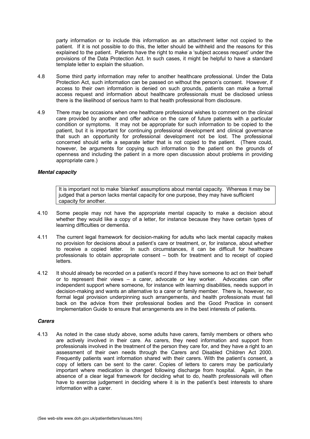party information or to include this information as an attachment letter not copied to the patient. If it is not possible to do this, the letter should be withheld and the reasons for this explained to the patient. Patients have the right to make a 'subject access request' under the provisions of the Data Protection Act. In such cases, it might be helpful to have a standard template letter to explain the situation.

- 4.8 Some third party information may refer to another healthcare professional. Under the Data Protection Act, such information can be passed on without the person's consent. However, if access to their own information is denied on such grounds, patients can make a formal access request and information about healthcare professionals must be disclosed unless there is the likelihood of serious harm to that health professional from disclosure.
- 4.9 There may be occasions when one healthcare professional wishes to comment on the clinical care provided by another and offer advice on the care of future patients with a particular condition or symptoms. It may not be appropriate for such information to be copied to the patient, but it is important for continuing professional development and clinical governance that such an opportunity for professional development not be lost. The professional concerned should write a separate letter that is not copied to the patient. (There could, however, be arguments for copying such information to the patient on the grounds of openness and including the patient in a more open discussion about problems in providing appropriate care.)

#### *Mental capacity*

It is important not to make 'blanket' assumptions about mental capacity. Whereas it may be judged that a person lacks mental capacity for one purpose, they may have sufficient capacity for another.

- 4.10 Some people may not have the appropriate mental capacity to make a decision about whether they would like a copy of a letter, for instance because they have certain types of learning difficulties or dementia.
- 4.11 The current legal framework for decision-making for adults who lack mental capacity makes no provision for decisions about a patient's care or treatment, or, for instance, about whether to receive a copied letter. In such circumstances, it can be difficult for healthcare professionals to obtain appropriate consent – both for treatment and to receipt of copied letters.
- 4.12 It should already be recorded on a patient's record if they have someone to act on their behalf or to represent their views – a carer, advocate or key worker. Advocates can offer independent support where someone, for instance with learning disabilities, needs support in decision-making and wants an alternative to a carer or family member. There is, however, no formal legal provision underpinning such arrangements, and health professionals must fall back on the advice from their professional bodies and the Good Practice in consent Implementation Guide to ensure that arrangements are in the best interests of patients.

#### *Carers*

4.13 As noted in the case study above, some adults have carers, family members or others who are actively involved in their care. As carers, they need information and support from professionals involved in the treatment of the person they care for, and they have a right to an assessment of their own needs through the Carers and Disabled Children Act 2000. Frequently patients want information shared with their carers. With the patient's consent, a copy of letters can be sent to the carer. Copies of letters to carers may be particularly important where medication is changed following discharge from hospital. Again, in the absence of a clear legal framework for deciding what to do, health professionals will often have to exercise judgement in deciding where it is in the patient's best interests to share information with a carer.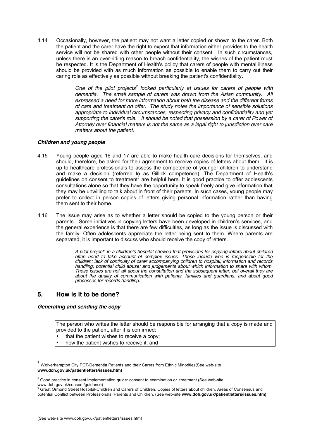4.14 Occasionally, however, the patient may not want a letter copied or shown to the carer. Both the patient and the carer have the right to expect that information either provides to the health service will not be shared with other people without their consent. In such circumstances, unless there is an over-riding reason to breach confidentiality, the wishes of the patient must be respected. It is the Department of Health's policy that carers of people with mental illness should be provided with as much information as possible to enable them to carry out their caring role as effectively as possible without breaking the patient's confidentiality**.**

> One of the pilot projects<sup>7</sup> looked particularly at issues for carers of people with *dementia. The small sample of carers was drawn from the Asian community. All expressed a need for more information about both the disease and the different forms of care and treatment on offer. The study notes the importance of sensible solutions appropriate to individual circumstances, respecting privacy and confidentiality and yet supporting the carer's role. It should be noted that possession by a carer of Power of Attorney over financial matters is not the same as a legal right to jurisdiction over care matters about the patient.*

#### *Children and young people*

- 4.15 Young people aged 16 and 17 are able to make health care decisions for themselves, and should, therefore, be asked for their agreement to receive copies of letters about them. It is up to healthcare professionals to assess the competence of younger children to understand and make a decision (referred to as Gillick competence). The Department of Health's guidelines on consent to treatment<sup>8</sup> are helpful here. It is good practice to offer adolescents consultations alone so that they have the opportunity to speak freely and give information that they may be unwilling to talk about in front of their parents. In such cases, young people may prefer to collect in person copies of letters giving personal information rather than having them sent to their home.
- 4.16 The issue may arise as to whether a letter should be copied to the young person or their parents. Some initiatives in copying letters have been developed in children's services, and the general experience is that there are few difficulties, as long as the issue is discussed with the family. Often adolescents appreciate the letter being sent to them. Where parents are separated, it is important to discuss who should receive the copy of letters.

*A pilot project9 in a children's hospital showed that provisions for copying letters about children often need to take account of complex issues. These include who is responsible for the children; lack of continuity of carer accompanying children to hospital; information and records handling; potential child abuse; and judgements about which information to share with whom. These issues are not all about the consultation and the subsequent letter, but overall they are about the quality of communication with patients, families and guardians, and about good processes for records handling.*

## **5. How is it to be done?**

#### *Generating and sending the copy*

 $\overline{a}$ 

The person who writes the letter should be responsible for arranging that a copy is made and provided to the patient, after it is confirmed:

- that the patient wishes to receive a copy;
- how the patient wishes to receive it; and

 $7$  Wolverhampton City PCT-Dementia Patients and their Carers from Ethnic Minorities(See web-site **www.doh.gov.uk/patientletters/issues.htm)**

<sup>&</sup>lt;sup>8</sup> Good practice in consent implementation guide: consent to examination or treatment.(See web-site:

www.doh.gov.uk/consent/guidance) 9 Great Ormond Street Hospital-Children and Carers of Children. Copies of letters about children. Areas of Consensus and potential Conflict between Professionals, Parents and Children. (See web-site **www.doh.gov.uk/patientletters/issues.htm)**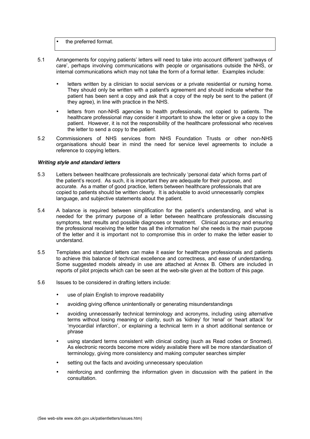the preferred format.

- 5.1 Arrangements for copying patients' letters will need to take into account different 'pathways of care', perhaps involving communications with people or organisations outside the NHS, or internal communications which may not take the form of a formal letter. Examples include:
	- letters written by a clinician to social services or a private residential or nursing home. They should only be written with a patient's agreement and should indicate whether the patient has been sent a copy and ask that a copy of the reply be sent to the patient (if they agree), in line with practice in the NHS.
	- letters from non-NHS agencies to health professionals, not copied to patients. The healthcare professional may consider it important to show the letter or give a copy to the patient. However, it is not the responsibility of the healthcare professional who receives the letter to send a copy to the patient.
- 5.2 Commissioners of NHS services from NHS Foundation Trusts or other non-NHS organisations should bear in mind the need for service level agreements to include a reference to copying letters.

#### *Writing style and standard letters*

- 5.3 Letters between healthcare professionals are technically 'personal data' which forms part of the patient's record. As such, it is important they are adequate for their purpose, and accurate. As a matter of good practice, letters between healthcare professionals that are copied to patients should be written clearly. It is advisable to avoid unnecessarily complex language, and subjective statements about the patient.
- 5.4 A balance is required between simplification for the patient's understanding, and what is needed for the primary purpose of a letter between healthcare professionals discussing symptoms, test results and possible diagnoses or treatment. Clinical accuracy and ensuring the professional receiving the letter has all the information he/ she needs is the main purpose of the letter and it is important not to compromise this in order to make the letter easier to understand.
- 5.5 Templates and standard letters can make it easier for healthcare professionals and patients to achieve this balance of technical excellence and correctness, and ease of understanding. Some suggested models already in use are attached at Annex B. Others are included in reports of pilot projects which can be seen at the web-site given at the bottom of this page.
- 5.6 Issues to be considered in drafting letters include:
	- use of plain English to improve readability
	- avoiding giving offence unintentionally or generating misunderstandings
	- avoiding unnecessarily technical terminology and acronyms, including using alternative terms without losing meaning or clarity, such as 'kidney' for 'renal' or 'heart attack' for 'myocardial infarction', or explaining a technical term in a short additional sentence or phrase
	- using standard terms consistent with clinical coding (such as Read codes or Snomed). As electronic records become more widely available there will be more standardisation of terminology, giving more consistency and making computer searches simpler
	- setting out the facts and avoiding unnecessary speculation
	- reinforcing and confirming the information given in discussion with the patient in the consultation.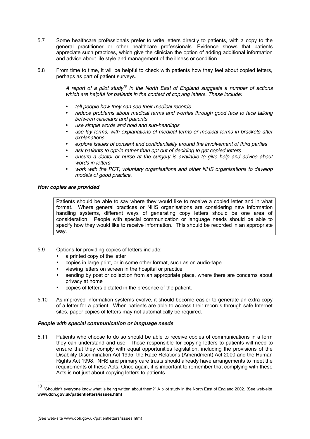- 5.7 Some healthcare professionals prefer to write letters directly to patients, with a copy to the general practitioner or other healthcare professionals. Evidence shows that patients appreciate such practices, which give the clinician the option of adding additional information and advice about life style and management of the illness or condition.
- 5.8 From time to time, it will be helpful to check with patients how they feel about copied letters, perhaps as part of patient surveys.

*A report of a pilot study10 in the North East of England suggests a number of actions which are helpful for patients in the context of copying letters. These include:*

- *tell people how they can see their medical records*
- *reduce problems about medical terms and worries through good face to face talking between clinicians and patients*
- *use simple words and bold and sub-headings*
- *use lay terms, with explanations of medical terms or medical terms in brackets after explanations*
- *explore issues of consent and confidentiality around the involvement of third parties*
- *ask patients to opt-in rather than opt out of deciding to get copied letters*
- *ensure a doctor or nurse at the surgery is available to give help and advice about words in letters*
- *work with the PCT, voluntary organisations and other NHS organisations to develop models of good practice.*

#### *How copies are provided*

Patients should be able to say where they would like to receive a copied letter and in what format. Where general practices or NHS organisations are considering new information handling systems, different ways of generating copy letters should be one area of consideration. People with special communication or language needs should be able to specify how they would like to receive information. This should be recorded in an appropriate way.

- 5.9 Options for providing copies of letters include:
	- a printed copy of the letter
	- copies in large print, or in some other format, such as on audio-tape
	- viewing letters on screen in the hospital or practice
	- sending by post or collection from an appropriate place, where there are concerns about privacy at home
	- copies of letters dictated in the presence of the patient.
- 5.10 As improved information systems evolve, it should become easier to generate an extra copy of a letter for a patient. When patients are able to access their records through safe Internet sites, paper copies of letters may not automatically be required.

#### *People with special communication or language needs*

5.11 Patients who choose to do so should be able to receive copies of communications in a form they can understand and use. Those responsible for copying letters to patients will need to ensure that they comply with equal opportunities legislation, including the provisions of the Disability Discrimination Act 1995, the Race Relations (Amendment) Act 2000 and the Human Rights Act 1998. NHS and primary care trusts should already have arrangements to meet the requirements of these Acts. Once again, it is important to remember that complying with these Acts is not just about copying letters to patients.

 <sup>10</sup> "Shouldn't everyone know what is being written about them?" A pilot study in the North East of England 2002. (See web-site **www.doh.gov.uk/patientletters/issues.htm)**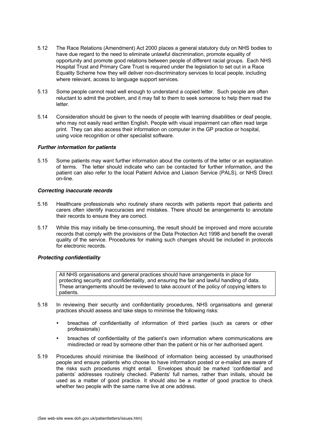- 5.12 The Race Relations (Amendment) Act 2000 places a general statutory duty on NHS bodies to have due regard to the need to eliminate unlawful discrimination, promote equality of opportunity and promote good relations between people of different racial groups. Each NHS Hospital Trust and Primary Care Trust is required under the legislation to set out in a Race Equality Scheme how they will deliver non-discriminatory services to local people, including where relevant, access to language support services.
- 5.13 Some people cannot read well enough to understand a copied letter. Such people are often reluctant to admit the problem, and it may fall to them to seek someone to help them read the letter.
- 5.14 Consideration should be given to the needs of people with learning disabilities or deaf people, who may not easily read written English. People with visual impairment can often read large print. They can also access their information on computer in the GP practice or hospital, using voice recognition or other specialist software.

#### *Further information for patients*

5.15 Some patients may want further information about the contents of the letter or an explanation of terms. The letter should indicate who can be contacted for further information, and the patient can also refer to the local Patient Advice and Liaison Service (PALS), or NHS Direct on-line.

#### *Correcting inaccurate records*

- 5.16 Healthcare professionals who routinely share records with patients report that patients and carers often identify inaccuracies and mistakes. There should be arrangements to annotate their records to ensure they are correct.
- 5.17 While this may initially be time-consuming, the result should be improved and more accurate records that comply with the provisions of the Data Protection Act 1998 and benefit the overall quality of the service. Procedures for making such changes should be included in protocols for electronic records.

#### *Protecting confidentiality*

All NHS organisations and general practices should have arrangements in place for protecting security and confidentiality, and ensuring the fair and lawful handling of data. These arrangements should be reviewed to take account of the policy of copying letters to patients.

- 5.18 In reviewing their security and confidentiality procedures, NHS organisations and general practices should assess and take steps to minimise the following risks:
	- breaches of confidentiality of information of third parties (such as carers or other professionals)
	- breaches of confidentiality of the patient's own information where communications are misdirected or read by someone other than the patient or his or her authorised agent.
- 5.19 Procedures should minimise the likelihood of information being accessed by unauthorised people and ensure patients who choose to have information posted or e-mailed are aware of the risks such procedures might entail. Envelopes should be marked 'confidential' and patients' addresses routinely checked. Patients' full names, rather than initials, should be used as a matter of good practice. It should also be a matter of good practice to check whether two people with the same name live at one address.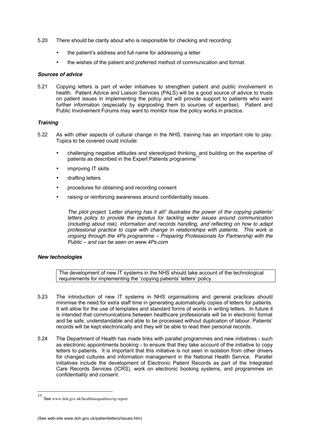- 5.20 There should be clarity about who is responsible for checking and recording:
	- the patient's address and full name for addressing a letter
	- the wishes of the patient and preferred method of communication and format.

#### *Sources of advice*

5.21 Copying letters is part of wider initiatives to strengthen patient and public involvement in health. Patient Advice and Liaison Services (PALS) will be a good source of advice to trusts on patient issues in implementing the policy and will provide support to patients who want further information (especially by signposting them to sources of expertise). Patient and Public Involvement Forums may want to monitor how the policy works in practice.

#### *Training*

- 5.22 As with other aspects of cultural change in the NHS, training has an important role to play. Topics to be covered could include:
	- challenging negative attitudes and stereotyped thinking, and building on the expertise of patients as described in the Expert Patients programme<sup>11</sup>
	- improving IT skills
	- drafting letters
	- procedures for obtaining and recording consent
	- raising or reinforcing awareness around confidentiality issues.

*The pilot project 'Letter sharing has it all!' illustrates the power of the copying patients' letters policy to provide the impetus for tackling wider issues around communication (including about risk), information and records handling, and reflecting on how to adapt professional practice to cope with change in relationships with patients. This work is ongoing through the 4Ps programme – Preparing Professionals for Partnership with the Public – and can be seen on www.4Ps.com*

#### *New technologies*

The development of new IT systems in the NHS should take account of the technological requirements for implementing the 'copying patients' letters' policy.

- 5.23 The introduction of new IT systems in NHS organisations and general practices should minimise the need for extra staff time in generating automatically copies of letters for patients. It will allow for the use of templates and standard forms of words in writing letters. In future it is intended that communications between healthcare professionals will be in electronic format and be safe, understandable and able to be processed without duplication of labour. Patients' records will be kept electronically and they will be able to read their personal records.
- 5.24 The Department of Health has made links with parallel programmes and new initiatives such as electronic appointments booking - to ensure that they take account of the initiative to copy letters to patients. It is important that this initiative is not seen in isolation from other drivers for changed cultures and information management in the National Health Service. Parallel initiatives include the development of Electronic Patient Records as part of the Integrated Care Records Services (ICRS), work on electronic booking systems, and programmes on confidentiality and consent.

 <sup>11</sup> See www.doh.gov.uk/healthinequalities/ep report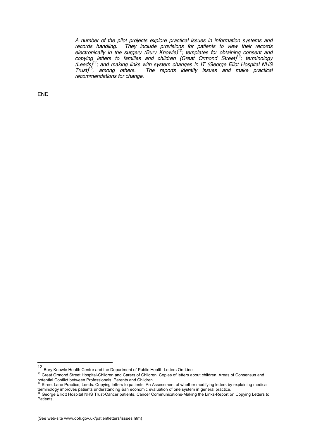*A number of the pilot projects explore practical issues in information systems and records handling. They include provisions for patients to view their records electronically in the surgery (Bury Knowle)12; templates for obtaining consent and copying letters to families and children (Great Ormond Street)13; terminology (Leeds)14; and making links with system changes in IT (George Eliot Hospital NHS Trust)15, among others. The reports identify issues and make practical recommendations for change.*

END

<sup>12</sup> Bury Knowle Health Centre and the Department of Public Health-Letters On-Line

<sup>&</sup>lt;sup>13</sup> Great Ormond Street Hospital-Children and Carers of Children. Copies of letters about children. Areas of Consensus and potential Conflict between Professionals, Parents and Children.

Street Lane Practice, Leeds. Copying letters to patients: An Assessment of whether modifying letters by explaining medical terminology improves patients understanding &an economic evaluation of one system in general practice.<br><sup>15</sup> George Elliott Hospital NHS Trust-Cancer patients. Cancer Communications-Making the Links-Report on Copying Letter

Patients.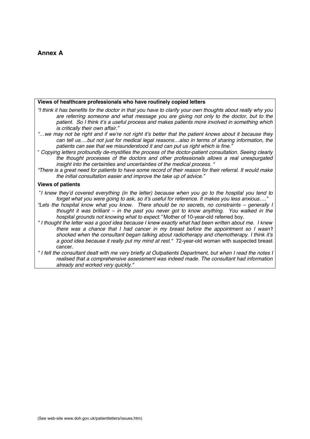# **Annex A**

#### **Views of healthcare professionals who have routinely copied letters**

- *"I think it has benefits for the doctor in that you have to clarify your own thoughts about really why you are referring someone and what message you are giving not only to the doctor, but to the patient. So I think it's a useful process and makes patients more involved in something which is critically their own affair."*
- *"…we may not be right and if we're not right it's better that the patient knows about it because they can tell us….but not just for medical legal reasons…also in terms of sharing information, the patients can see that we misunderstood it and can put us right which is fine."*
- " *Copying letters profoundly de-mystifies the process of the doctor-patient consultation. Seeing clearly the thought processes of the doctors and other professionals allows a real unexpurgated insight into the certainties and uncertainties of the medical process. "*
- *"There is a great need for patients to have some record of their reason for their referral. It would make the initial consultation easier and improve the take up of advice."*

#### **Views of patients**

- "*I knew they'd covered everything (in the letter) because when you go to the hospital you tend to forget what you were going to ask, so it's useful for reference. It makes you less anxious…."*
- *"Lets the hospital know what you know. There should be no secrets, no constraints generally I thought it was brilliant – in the past you never got to know anything. You walked in the hospital grounds not knowing what to expect."* Mother of 10-year-old referred boy.
- *" I thought the letter was a good idea because I knew exactly what had been written about me. I knew there was a chance that I had cancer in my breast before the appointment so I wasn't shocked when the consultant began talking about radiotherapy and chemotherapy. I think it's a good idea because it really put my mind at rest."* 72-year-old woman with suspected breast cancer*.*
- *" I felt the consultant dealt with me very briefly at Outpatients Department, but when I read the notes I realised that a comprehensive assessment was indeed made. The consultant had information already and worked very quickly."*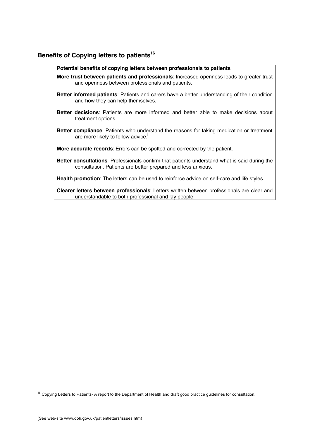# **Benefits of Copying letters to patients<sup>16</sup>**

| Potential benefits of copying letters between professionals to patients                                                                                              |
|----------------------------------------------------------------------------------------------------------------------------------------------------------------------|
| More trust between patients and professionals: Increased openness leads to greater trust<br>and openness between professionals and patients.                         |
| <b>Better informed patients:</b> Patients and carers have a better understanding of their condition<br>and how they can help themselves.                             |
| Better decisions: Patients are more informed and better able to make decisions about<br>treatment options.                                                           |
| <b>Better compliance</b> : Patients who understand the reasons for taking medication or treatment<br>are more likely to follow advice.                               |
| <b>More accurate records:</b> Errors can be spotted and corrected by the patient.                                                                                    |
| <b>Better consultations</b> : Professionals confirm that patients understand what is said during the<br>consultation. Patients are better prepared and less anxious. |
| Health promotion: The letters can be used to reinforce advice on self-care and life styles.                                                                          |
| Clearer letters between professionals: Letters written between professionals are clear and<br>understandable to both professional and lay people.                    |
|                                                                                                                                                                      |

<sup>16</sup> Copying Letters to Patients- A report to the Department of Health and draft good practice guidelines for consultation.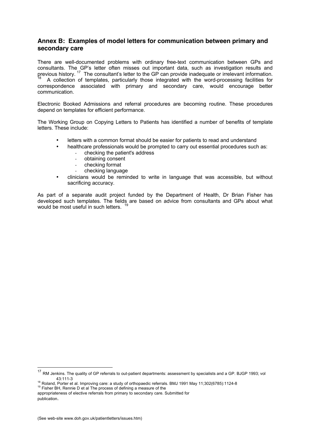## **Annex B: Examples of model letters for communication between primary and secondary care**

There are well-documented problems with ordinary free-text communication between GPs and consultants. The GP's letter often misses out important data, such as investigation results and previous history. <sup>17</sup> The consultant's letter to the GP can provide inadequate or irrelevant information.<br><sup>18</sup> A collection of templates, particularly those integrated with the word-processing facilities for correspondence associated with primary and secondary care, would encourage better communication.

Electronic Booked Admissions and referral procedures are becoming routine. These procedures depend on templates for efficient performance.

The Working Group on Copying Letters to Patients has identified a number of benefits of template letters. These include:

- letters with a common format should be easier for patients to read and understand
- healthcare professionals would be prompted to carry out essential procedures such as:
	- checking the patient's address
	- obtaining consent
	- checking format
	- checking language
- clinicians would be reminded to write in language that was accessible, but without sacrificing accuracy.

As part of a separate audit project funded by the Department of Health, Dr Brian Fisher has developed such templates. The fields are based on advice from consultants and GPs about what would be most useful in such letters. <sup>19</sup>

appropriateness of elective referrals from primary to secondary care. Submitted for publication.

<sup>&</sup>lt;sup>17</sup> RM Jenkins. The quality of GP referrals to out-patient departments: assessment by specialists and a GP. BJGP 1993; vol

<sup>43:111-3&</sup>lt;br><sup>18</sup> Roland, Porter et al. Improving care: a study of orthopaedic referrals. BMJ 1991 May 11;302(6785):1124-8<br><sup>19</sup> Fisher BH, Rennie D et al The process of defining a measure of the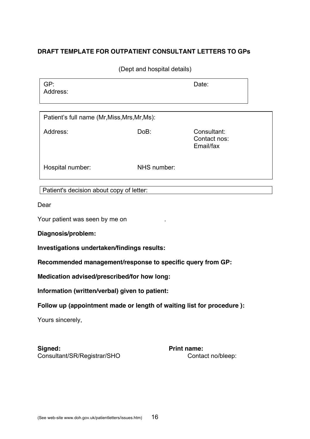# **DRAFT TEMPLATE FOR OUTPATIENT CONSULTANT LETTERS TO GPs**

(Dept and hospital details)

| GP:<br>Address: | Date: |
|-----------------|-------|
|                 |       |

| Patient's full name (Mr, Miss, Mrs, Mr, Ms): |             |                                          |
|----------------------------------------------|-------------|------------------------------------------|
| Address:                                     | DoB:        | Consultant:<br>Contact nos:<br>Email/fax |
| Hospital number:                             | NHS number: |                                          |

Patient's decision about copy of letter:

Dear

Your patient was seen by me on

**Diagnosis/problem:**

**Investigations undertaken/findings results:**

**Recommended management/response to specific query from GP:**

**Medication advised/prescribed/for how long:**

**Information (written/verbal) given to patient:**

**Follow up (appointment made or length of waiting list for procedure ):**

Yours sincerely,

Signed: **Print name:** Consultant/SR/Registrar/SHO Contact no/bleep: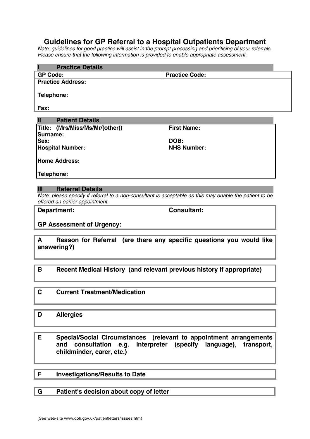# **Guidelines for GP Referral to a Hospital Outpatients Department**

*Note: guidelines for good practice will assist in the prompt processing and prioritising of your referrals. Please ensure that the following information is provided to enable appropriate assessment.*

| <b>Practice Details</b>         |                                                                                                         |
|---------------------------------|---------------------------------------------------------------------------------------------------------|
| <b>GP Code:</b>                 | <b>Practice Code:</b>                                                                                   |
| <b>Practice Address:</b>        |                                                                                                         |
| Telephone:                      |                                                                                                         |
| Fax:                            |                                                                                                         |
| <b>Patient Details</b><br>Ш     |                                                                                                         |
| Title: (Mrs/Miss/Ms/Mr/(other)) | <b>First Name:</b>                                                                                      |
| Surname:                        |                                                                                                         |
| Sex:                            | DOB:                                                                                                    |
| <b>Hospital Number:</b>         | <b>NHS Number:</b>                                                                                      |
| <b>Home Address:</b>            |                                                                                                         |
| Telephone:                      |                                                                                                         |
|                                 |                                                                                                         |
| <b>Referral Details</b><br>ш    |                                                                                                         |
| offered an earlier appointment. | Note: please specify if referral to a non-consultant is acceptable as this may enable the patient to be |

**Department: Consultant:**

## **GP Assessment of Urgency:**

**A Reason for Referral (are there any specific questions you would like answering?)**

# **B Recent Medical History (and relevant previous history if appropriate)**

# **C Current Treatment/Medication**

# **D Allergies**

**E Special/Social Circumstances (relevant to appointment arrangements and consultation e.g. interpreter (specify language), transport, childminder, carer, etc.)**

## **F Investigations/Results to Date**

# **G Patient's decision about copy of letter**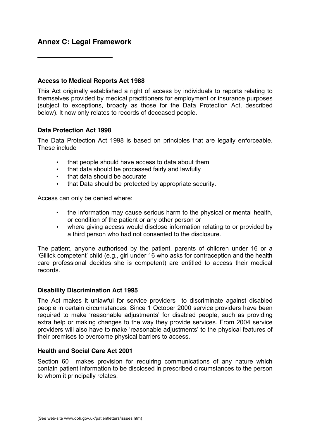# **Annex C: Legal Framework**

 $\overline{a}$ 

# **Access to Medical Reports Act 1988**

This Act originally established a right of access by individuals to reports relating to themselves provided by medical practitioners for employment or insurance purposes (subject to exceptions, broadly as those for the Data Protection Act, described below). It now only relates to records of deceased people.

# **Data Protection Act 1998**

The Data Protection Act 1998 is based on principles that are legally enforceable. These include

- that people should have access to data about them
- that data should be processed fairly and lawfully
- that data should be accurate
- that Data should be protected by appropriate security.

Access can only be denied where:

- the information may cause serious harm to the physical or mental health, or condition of the patient or any other person or
- where giving access would disclose information relating to or provided by a third person who had not consented to the disclosure.

The patient, anyone authorised by the patient, parents of children under 16 or a 'Gillick competent' child (e.g., girl under 16 who asks for contraception and the health care professional decides she is competent) are entitled to access their medical records.

## **Disability Discrimination Act 1995**

The Act makes it unlawful for service providers to discriminate against disabled people in certain circumstances. Since 1 October 2000 service providers have been required to make 'reasonable adjustments' for disabled people, such as providing extra help or making changes to the way they provide services. From 2004 service providers will also have to make 'reasonable adjustments' to the physical features of their premises to overcome physical barriers to access.

# **Health and Social Care Act 2001**

Section 60 makes provision for requiring communications of any nature which contain patient information to be disclosed in prescribed circumstances to the person to whom it principally relates.